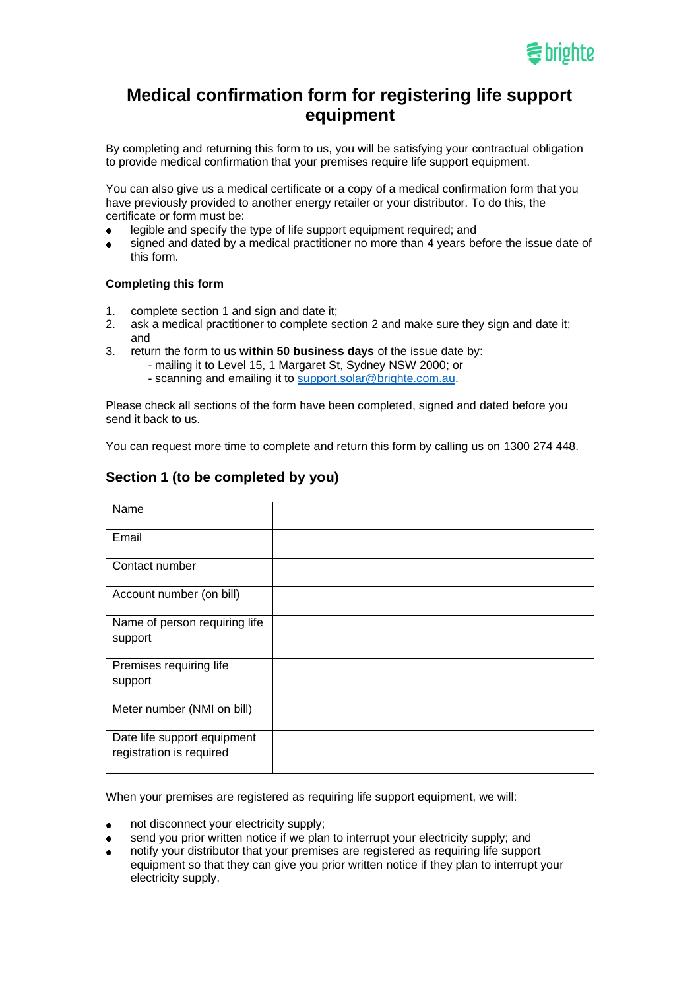

# **Medical confirmation form for registering life support equipment**

By completing and returning this form to us, you will be satisfying your contractual obligation to provide medical confirmation that your premises require life support equipment.

You can also give us a medical certificate or a copy of a medical confirmation form that you have previously provided to another energy retailer or your distributor. To do this, the certificate or form must be:

- legible and specify the type of life support equipment required; and
- signed and dated by a medical practitioner no more than 4 years before the issue date of  $\bullet$ this form.

#### **Completing this form**

- 1. complete section 1 and sign and date it;
- 2. ask a medical practitioner to complete section 2 and make sure they sign and date it; and
- 3. return the form to us **within 50 business days** of the issue date by:
	- mailing it to Level 15, 1 Margaret St, Sydney NSW 2000; or
		- scanning and emailing it to [support.solar@brighte.com.au.](mailto:support.solar@brighte.com.au)

Please check all sections of the form have been completed, signed and dated before you send it back to us.

You can request more time to complete and return this form by calling us on 1300 274 448.

| Name                                                    |  |
|---------------------------------------------------------|--|
| Email                                                   |  |
| Contact number                                          |  |
| Account number (on bill)                                |  |
| Name of person requiring life<br>support                |  |
| Premises requiring life<br>support                      |  |
| Meter number (NMI on bill)                              |  |
| Date life support equipment<br>registration is required |  |

### **Section 1 (to be completed by you)**

When your premises are registered as requiring life support equipment, we will:

- not disconnect your electricity supply;
- send you prior written notice if we plan to interrupt your electricity supply; and
- notify your distributor that your premises are registered as requiring life support equipment so that they can give you prior written notice if they plan to interrupt your electricity supply.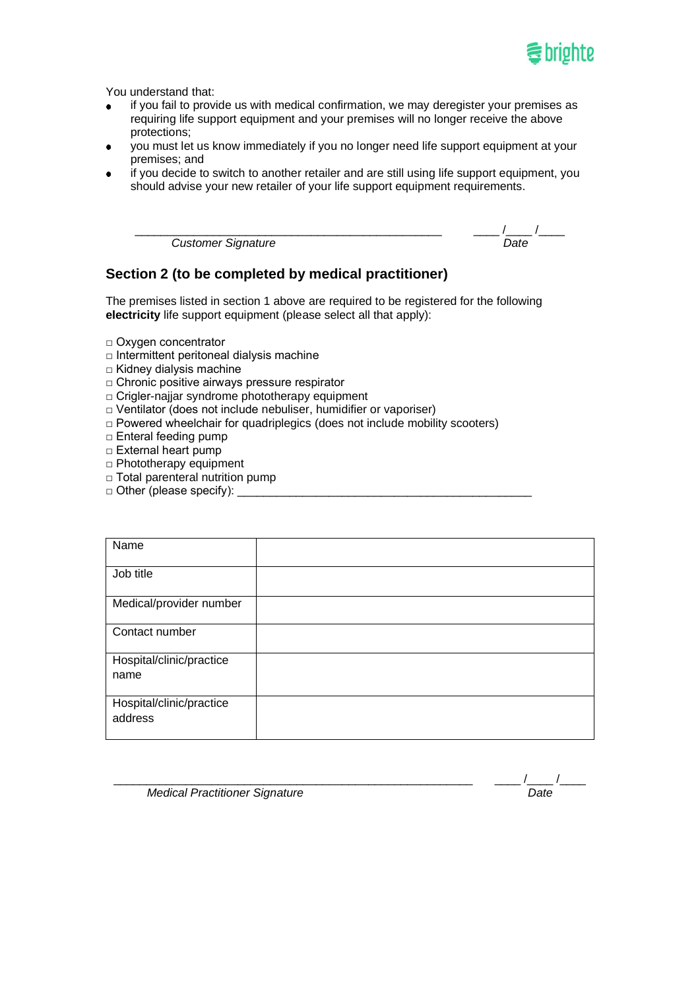

You understand that:

- if you fail to provide us with medical confirmation, we may deregister your premises as  $\bullet$ requiring life support equipment and your premises will no longer receive the above protections;
- you must let us know immediately if you no longer need life support equipment at your  $\bullet$ premises; and
- if you decide to switch to another retailer and are still using life support equipment, you  $\bullet$ should advise your new retailer of your life support equipment requirements.

**Customer Signature** 

| Sianature.<br>$\cdots$<br>$\blacksquare$<br>ז בזי |  |
|---------------------------------------------------|--|

## **Section 2 (to be completed by medical practitioner)**

The premises listed in section 1 above are required to be registered for the following **electricity** life support equipment (please select all that apply):

- □ Oxygen concentrator
- □ Intermittent peritoneal dialysis machine
- □ Kidney dialysis machine
- □ Chronic positive airways pressure respirator
- □ Crigler-najjar syndrome phototherapy equipment
- □ Ventilator (does not include nebuliser, humidifier or vaporiser)
- □ Powered wheelchair for quadriplegics (does not include mobility scooters)
- □ Enteral feeding pump
- □ External heart pump
- □ Phototherapy equipment
- □ Total parenteral nutrition pump
- $\Box$  Other (please specify):

| Name                     |  |
|--------------------------|--|
| Job title                |  |
| Medical/provider number  |  |
| Contact number           |  |
| Hospital/clinic/practice |  |
| name                     |  |
| Hospital/clinic/practice |  |
| address                  |  |

**Medical Practitioner Signature** Medical Practitioner Signature Date

\_\_\_\_\_\_\_\_\_\_\_\_\_\_\_\_\_\_\_\_\_\_\_\_\_\_\_\_\_\_\_\_\_\_\_\_\_\_\_\_\_\_\_\_\_\_\_\_\_\_\_\_\_\_\_ \_\_\_\_ /\_\_\_\_ /\_\_\_\_